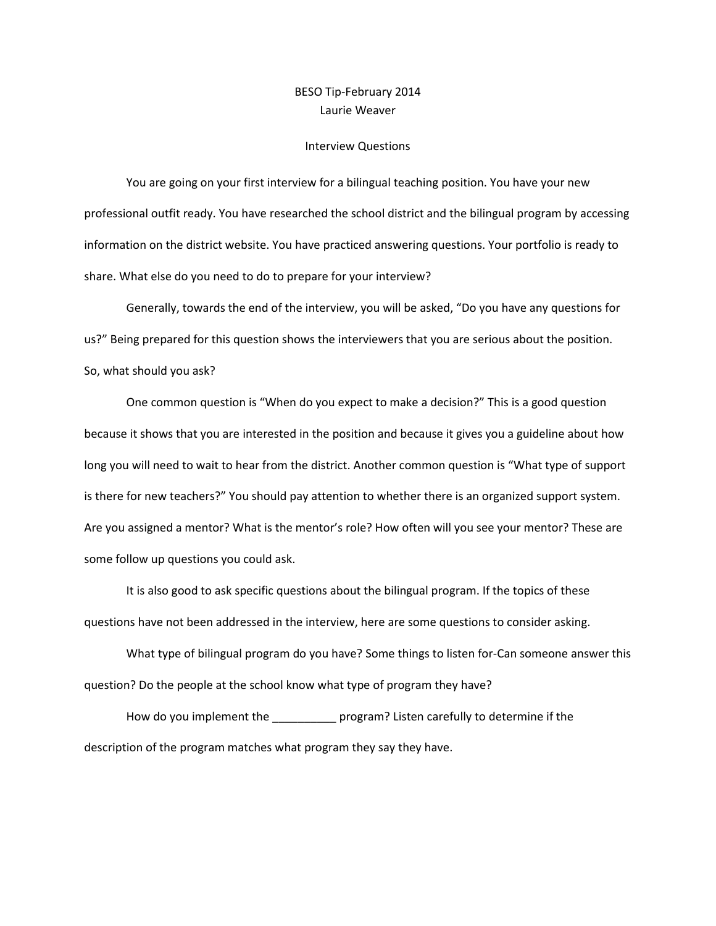## BESO Tip-February 2014 Laurie Weaver

## Interview Questions

You are going on your first interview for a bilingual teaching position. You have your new professional outfit ready. You have researched the school district and the bilingual program by accessing information on the district website. You have practiced answering questions. Your portfolio is ready to share. What else do you need to do to prepare for your interview?

Generally, towards the end of the interview, you will be asked, "Do you have any questions for us?" Being prepared for this question shows the interviewers that you are serious about the position. So, what should you ask?

One common question is "When do you expect to make a decision?" This is a good question because it shows that you are interested in the position and because it gives you a guideline about how long you will need to wait to hear from the district. Another common question is "What type of support is there for new teachers?" You should pay attention to whether there is an organized support system. Are you assigned a mentor? What is the mentor's role? How often will you see your mentor? These are some follow up questions you could ask.

It is also good to ask specific questions about the bilingual program. If the topics of these questions have not been addressed in the interview, here are some questions to consider asking.

What type of bilingual program do you have? Some things to listen for-Can someone answer this question? Do the people at the school know what type of program they have?

How do you implement the \_\_\_\_\_\_\_\_\_\_\_ program? Listen carefully to determine if the description of the program matches what program they say they have.